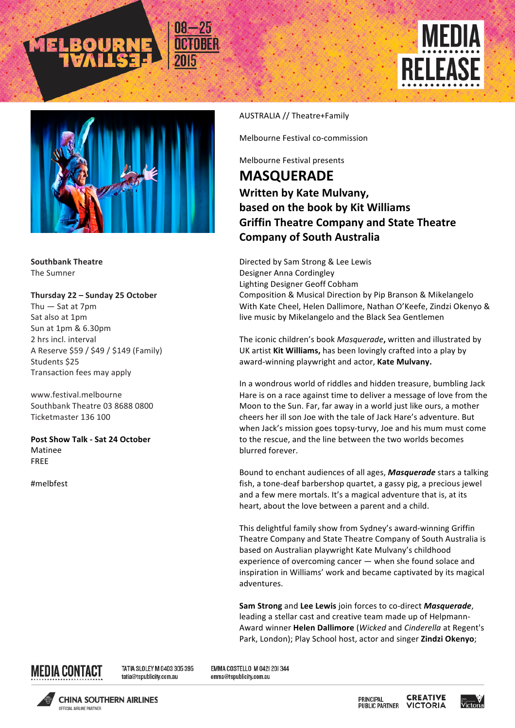



**Southbank Theatre The Sumner** 

**Thursday 22 – Sunday 25 October** Thu  $-$  Sat at  $7$ pm Sat also at 1pm Sun at 1pm & 6.30pm 2 hrs incl. interval A Reserve \$59 / \$49 / \$149 (Family) Students \$25 Transaction fees may apply

www.festival.melbourne Southbank Theatre 03 8688 0800 Ticketmaster 136 100

**Post Show Talk - Sat 24 October**  Matinee FREE

#melbfest

## AUSTRALIA // Theatre+Family

Melbourne Festival co-commission

Melbourne Festival presents

## **MASQUERADE Written by Kate Mulvany, based on the book by Kit Williams Griffin Theatre Company and State Theatre Company of South Australia**

Directed by Sam Strong & Lee Lewis Designer Anna Cordingley Lighting Designer Geoff Cobham Composition & Musical Direction by Pip Branson & Mikelangelo With Kate Cheel, Helen Dallimore, Nathan O'Keefe, Zindzi Okenyo & live music by Mikelangelo and the Black Sea Gentlemen

The iconic children's book *Masquerade*, written and illustrated by UK artist Kit Williams, has been lovingly crafted into a play by award-winning playwright and actor, Kate Mulvany.

In a wondrous world of riddles and hidden treasure, bumbling Jack Hare is on a race against time to deliver a message of love from the Moon to the Sun. Far, far away in a world just like ours, a mother cheers her ill son Joe with the tale of Jack Hare's adventure. But when Jack's mission goes topsy-turvy, Joe and his mum must come to the rescue, and the line between the two worlds becomes blurred forever.

Bound to enchant audiences of all ages, **Masquerade** stars a talking fish, a tone-deaf barbershop quartet, a gassy pig, a precious jewel and a few mere mortals. It's a magical adventure that is, at its heart, about the love between a parent and a child.

This delightful family show from Sydney's award-winning Griffin Theatre Company and State Theatre Company of South Australia is based on Australian playwright Kate Mulvany's childhood experience of overcoming cancer  $-$  when she found solace and inspiration in Williams' work and became captivated by its magical adventures.

**Sam Strong** and **Lee Lewis** join forces to co-direct *Masquerade*, leading a stellar cast and creative team made up of Helpmann-Award winner **Helen Dallimore** (*Wicked* and *Cinderella* at Regent's Park, London); Play School host, actor and singer Zindzi Okenyo;



TATIA SLOLEY M 0403 305 395 tatia@tspublicity.com.au

EMMA COSTELLO M 0421 201344 emma@tspublicity.com.au



**CHINA SOUTHERN AIRLINES OCCIOIAL AIDI INF DADTNED** 

**CREATIVE** PRINCIPAL **PUBLIC PARTNER VICTORIA**